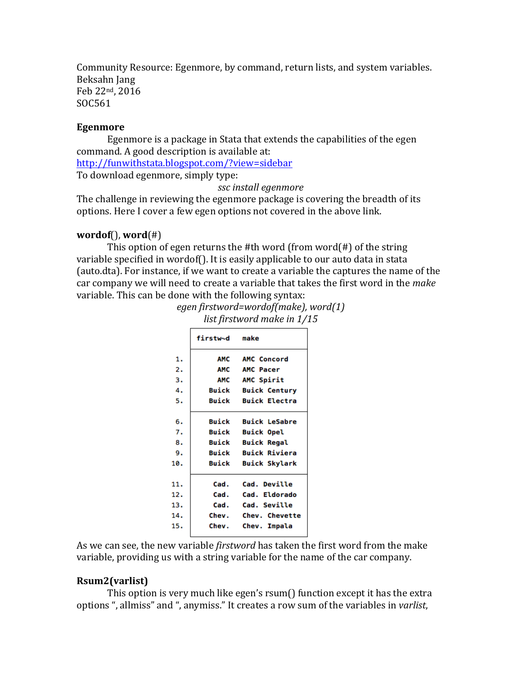Community Resource: Egenmore, by command, return lists, and system variables. Beksahn Jang Feb 22nd, 2016 SOC561

#### **Egenmore**

Egenmore is a package in Stata that extends the capabilities of the egen command. A good description is available at:

http://funwithstata.blogspot.com/?view=sidebar

To download egenmore, simply type:

*ssc install egenmore*

The challenge in reviewing the egenmore package is covering the breadth of its options. Here I cover a few egen options not covered in the above link.

### $wordof()$ ,  $word(*)$

This option of egen returns the #th word (from word $(\#)$  of the string variable specified in wordof(). It is easily applicable to our auto data in stata (auto.dta). For instance, if we want to create a variable the captures the name of the car company we will need to create a variable that takes the first word in the make variable. This can be done with the following syntax: *egen firstword=wordof(make), word(1)*

| eyen jirsiworu=woruojimukej, wort<br>list firstword make in 1/15 |          |                      |  |  |  |  |
|------------------------------------------------------------------|----------|----------------------|--|--|--|--|
|                                                                  | firstw∼d | make                 |  |  |  |  |
| 1.                                                               | AMC      | <b>AMC Concord</b>   |  |  |  |  |
| 2.                                                               | АМС      | AMC Pacer            |  |  |  |  |
| з.                                                               | AMC      | AMC Spirit           |  |  |  |  |
| 4.                                                               | Buick    | <b>Buick Century</b> |  |  |  |  |
| 5.                                                               | Buick    | <b>Buick Electra</b> |  |  |  |  |
| 6.                                                               | Buick    | <b>Buick LeSabre</b> |  |  |  |  |
| 7.                                                               | Buick    | <b>Buick Opel</b>    |  |  |  |  |

|     | firstw∼d     | make                 |
|-----|--------------|----------------------|
| 1.  | AMC          | <b>AMC Concord</b>   |
| 2.  | AMC          | <b>AMC Pacer</b>     |
| 3.  | AMC          | AMC Spirit           |
| 4.  | Buick        | <b>Buick Century</b> |
| 5.  | Buick        | <b>Buick Electra</b> |
| 6.  | Buick        | <b>Buick LeSabre</b> |
| 7.  | Buick        | <b>Buick Opel</b>    |
| 8.  | <b>Buick</b> | <b>Buick Regal</b>   |
| 9.  | Buick        | <b>Buick Riviera</b> |
| 10. | Buick        | <b>Buick Skylark</b> |
| 11. | Cad.         | Cad. Deville         |
| 12. | Cad.         | Cad. Eldorado        |
| 13. | Cad.         | Cad. Seville         |
| 14. | Chev.        | Chev. Chevette       |
| 15. | Chev.        | Chev. Impala         |

As we can see, the new variable *firstword* has taken the first word from the make variable, providing us with a string variable for the name of the car company.

#### **Rsum2(varlist)**

This option is very much like egen's  $rsum()$  function except it has the extra options ", allmiss" and ", anymiss." It creates a row sum of the variables in *varlist*,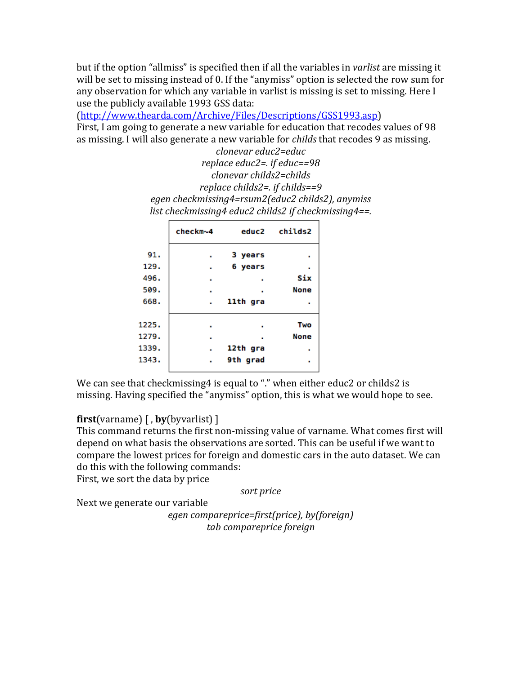but if the option "allmiss" is specified then if all the variables in *varlist* are missing it will be set to missing instead of 0. If the "anymiss" option is selected the row sum for any observation for which any variable in varlist is missing is set to missing. Here I use the publicly available 1993 GSS data:

(http://www.thearda.com/Archive/Files/Descriptions/GSS1993.asp)

First, I am going to generate a new variable for education that recodes values of 98 as missing. I will also generate a new variable for *childs* that recodes 9 as missing. *clonevar educ2=educ*

*replace educ2=. if educ==98 clonevar childs2=childs replace childs2=. if childs==9 egen checkmissing4=rsum2(educ2 childs2), anymiss list checkmissing4 educ2 childs2 if checkmissing4==.* 

|    | 3 years  |                        |
|----|----------|------------------------|
| ×. | 6 years  |                        |
|    |          | Six                    |
|    |          | <b>None</b>            |
|    | 11th gra |                        |
|    |          | Two                    |
|    |          | <b>None</b>            |
|    | 12th gra |                        |
|    | 9th grad |                        |
|    |          | checkm~4 educ2 childs2 |

We can see that checkmissing4 is equal to "." when either educ2 or childs2 is missing. Having specified the "anymiss" option, this is what we would hope to see.

# **first**(varname)  $\left[ \right,$  **by**(byvarlist)  $\left[ \right.$

This command returns the first non-missing value of varname. What comes first will depend on what basis the observations are sorted. This can be useful if we want to compare the lowest prices for foreign and domestic cars in the auto dataset. We can do this with the following commands:

First, we sort the data by price

*sort price*

Next we generate our variable

*egen compareprice=first(price), by(foreign) tab compareprice foreign*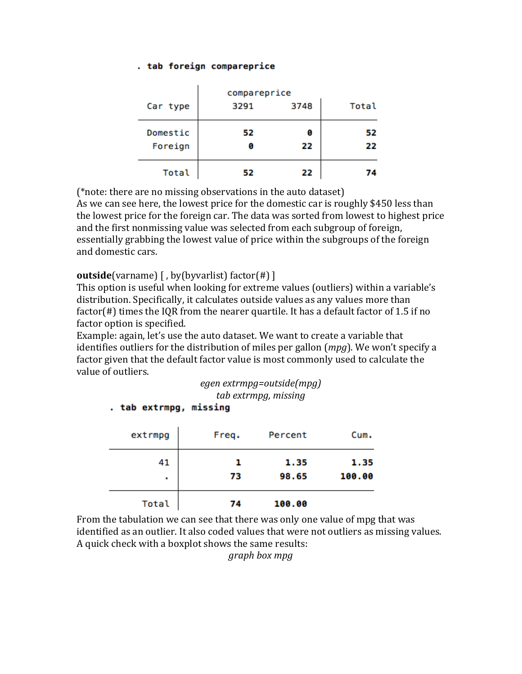#### . tab foreign compareprice

|          | compareprice |      |       |  |  |
|----------|--------------|------|-------|--|--|
| Car type | 3291         | 3748 | Total |  |  |
| Domestic | 52           | ø    | 52    |  |  |
| Foreign  |              | 22   | 22    |  |  |
| Total    | 52           | 22   |       |  |  |

 $(*note: there are no missing observations in the auto dataset)$ As we can see here, the lowest price for the domestic car is roughly \$450 less than the lowest price for the foreign car. The data was sorted from lowest to highest price and the first nonmissing value was selected from each subgroup of foreign, essentially grabbing the lowest value of price within the subgroups of the foreign and domestic cars.

# **outside**(varname) [, by(byvarlist) factor(#) ]

This option is useful when looking for extreme values (outliers) within a variable's distribution. Specifically, it calculates outside values as any values more than factor(#) times the IQR from the nearer quartile. It has a default factor of 1.5 if no factor option is specified.

Example: again, let's use the auto dataset. We want to create a variable that identifies outliers for the distribution of miles per gallon (*mpg*). We won't specify a factor given that the default factor value is most commonly used to calculate the value of outliers.

# *egen extrmpg=outside(mpg) tab extrmpg, missing*

## . tab extrmpg, missing

| extrmpg | Freq. | Percent | Cum.   |
|---------|-------|---------|--------|
| 41      |       | 1.35    | 1.35   |
| ٠       | 73    | 98.65   | 100.00 |
| Total   | 74    | 100.00  |        |

From the tabulation we can see that there was only one value of mpg that was identified as an outlier. It also coded values that were not outliers as missing values. A quick check with a boxplot shows the same results:

*graph box mpg*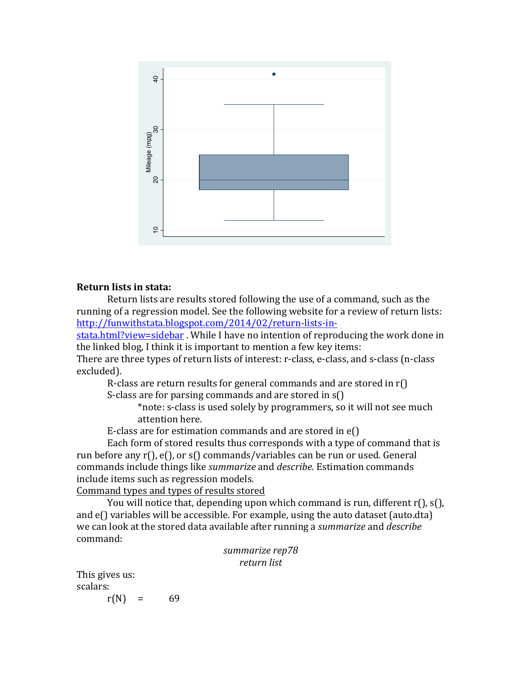

#### **Return lists in stata:**

Return lists are results stored following the use of a command, such as the running of a regression model. See the following website for a review of return lists: http://funwithstata.blogspot.com/2014/02/return-lists-in-

stata.html?view=sidebar. While I have no intention of reproducing the work done in the linked blog, I think it is important to mention a few key items:

There are three types of return lists of interest: r-class, e-class, and s-class (n-class excluded).

R-class are return results for general commands and are stored in  $r()$ 

S-class are for parsing commands and are stored in  $s()$ 

\*note: s-class is used solely by programmers, so it will not see much attention here.

E-class are for estimation commands and are stored in  $e()$ 

Each form of stored results thus corresponds with a type of command that is run before any  $r()$ ,  $e()$ , or  $s()$  commands/variables can be run or used. General commands include things like *summarize* and *describe*. Estimation commands include items such as regression models.

Command types and types of results stored

You will notice that, depending upon which command is run, different  $r()$ ,  $s()$ , and  $e()$  variables will be accessible. For example, using the auto dataset (auto.dta) we can look at the stored data available after running a *summarize* and *describe* command:

> *summarize rep78 return list*

This gives us: scalars:

 $r(N) =$ 69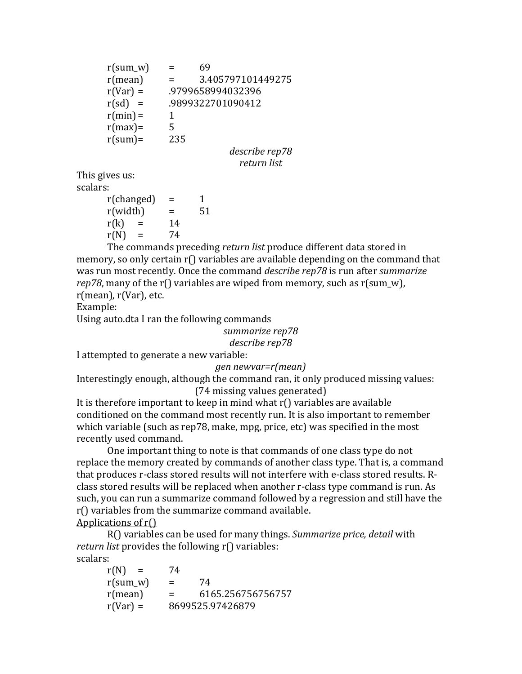| $r(sum_w)$            | $=$ | 69                 |
|-----------------------|-----|--------------------|
| $r$ (mean)            | =   | 3.405797101449275  |
| $r(Var) =$            |     | .9799658994032396  |
| r(sd)<br>$\alpha = 1$ |     | .9899322701090412  |
| $r(min) =$            | 1   |                    |
| $r(max) =$            | 5   |                    |
| $r(sum) =$            | 235 |                    |
|                       |     | $d$ oganiko non 70 |

*describe rep78 return list*

This gives us:

scalars:  $r(changed) = 1$  $r(width)$  = 51  $r(k) = 14$  $r(N) = 74$ 

The commands preceding *return list* produce different data stored in memory, so only certain  $r()$  variables are available depending on the command that was run most recently. Once the command *describe rep78* is run after *summarize rep78*, many of the  $r()$  variables are wiped from memory, such as  $r(\text{sum}_v, \mathbf{w})$ ,  $r$ (mean),  $r(Var)$ , etc.

Example:

Using auto.dta I ran the following commands

summarize rep78 describe rep78

I attempted to generate a new variable:

# *gen newvar=r(mean)*

Interestingly enough, although the command ran, it only produced missing values: (74 missing values generated)

It is therefore important to keep in mind what  $r()$  variables are available conditioned on the command most recently run. It is also important to remember which variable (such as rep78, make, mpg, price, etc) was specified in the most recently used command.

One important thing to note is that commands of one class type do not replace the memory created by commands of another class type. That is, a command that produces r-class stored results will not interfere with e-class stored results. Rclass stored results will be replaced when another r-class type command is run. As such, you can run a summarize command followed by a regression and still have the  $r()$  variables from the summarize command available.

Applications of  $r()$ 

R() variables can be used for many things. Summarize price, detail with *return list* provides the following r() variables: scalars:

 $r(N) = 74$  $r(sum w) = 74$  $r(mean)$  = 6165.256756756757  $r(Var) = 8699525.97426879$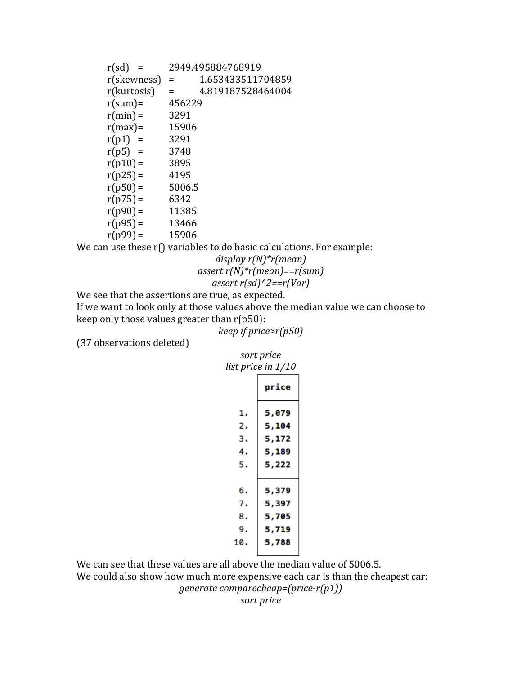| $r(sd) =$   |        | 2949.495884768919 |
|-------------|--------|-------------------|
| r(skewness) | $=$    | 1.653433511704859 |
| r(kurtosis) | Ξ      | 4.819187528464004 |
| $r(sum) =$  | 456229 |                   |
| $r(min) =$  | 3291   |                   |
| $r(max) =$  | 15906  |                   |
| $r(p1)$ =   | 3291   |                   |
| $r(p5)$ =   | 3748   |                   |
| $r(p10) =$  | 3895   |                   |
| $r(p25) =$  | 4195   |                   |
| $r(p50) =$  | 5006.5 |                   |
| $r(p75) =$  | 6342   |                   |
| $r(p90) =$  | 11385  |                   |
| $r(p95) =$  | 13466  |                   |
| $r(p99) =$  | 15906  |                   |

We can use these  $r()$  variables to do basic calculations. For example:

## *display r(N)\*r(mean) assert r(N)\*r(mean)==r(sum) assert r(sd)^2==r(Var)*

We see that the assertions are true, as expected.

If we want to look only at those values above the median value we can choose to keep only those values greater than  $r(p50)$ :

*keep if price>r(p50)*

(37 observations deleted)

|     | sort price         |  |  |  |  |
|-----|--------------------|--|--|--|--|
|     | list price in 1/10 |  |  |  |  |
|     | price              |  |  |  |  |
| 1.  | 5,079              |  |  |  |  |
| 2.  | 5,104              |  |  |  |  |
| з.  | 5,172              |  |  |  |  |
| 4.  | 5,189              |  |  |  |  |
| 5.  | 5,222              |  |  |  |  |
|     |                    |  |  |  |  |
| 6.  | 5,379              |  |  |  |  |
| 7.  | 5,397              |  |  |  |  |
| 8.  | 5,705              |  |  |  |  |
| 9.  | 5,719              |  |  |  |  |
| 10. | 5,788              |  |  |  |  |
|     |                    |  |  |  |  |

We can see that these values are all above the median value of 5006.5.

We could also show how much more expensive each car is than the cheapest car:

*generate comparecheap=(price-r(p1))*

*sort price*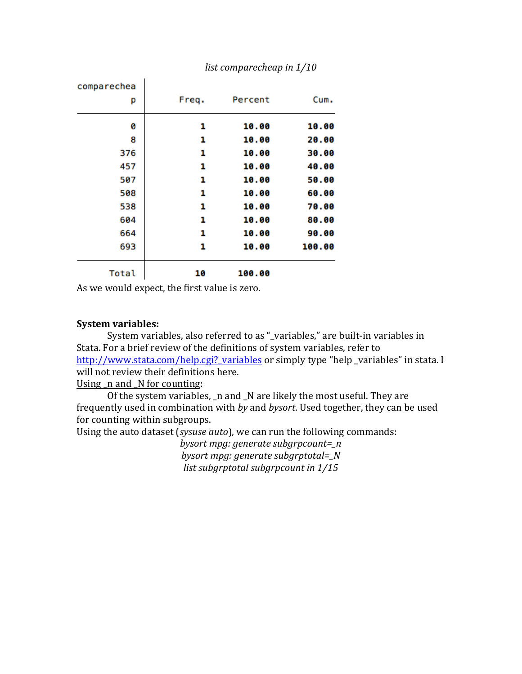| comparechea |       |         |        |
|-------------|-------|---------|--------|
| р           | Freq. | Percent | Cum.   |
| 0           | 1     | 10.00   | 10.00  |
| 8           | 1     | 10.00   | 20.00  |
| 376         | 1     | 10.00   | 30.00  |
| 457         | 1     | 10.00   | 40.00  |
| 507         | 1     | 10.00   | 50.00  |
| 508         | 1     | 10.00   | 60.00  |
| 538         | 1     | 10.00   | 70.00  |
| 604         | 1     | 10.00   | 80.00  |
| 664         | 1     | 10.00   | 90.00  |
| 693         | 1     | 10.00   | 100.00 |
| Total       | 10    | 100.00  |        |

*list comparecheap in*  $1/10$ 

As we would expect, the first value is zero.

ï

## **System variables:**

System variables, also referred to as "\_variables," are built-in variables in Stata. For a brief review of the definitions of system variables, refer to http://www.stata.com/help.cgi?\_variables or simply type "help \_variables" in stata. I will not review their definitions here.

Using  $\Delta$ n and  $\Delta$ N for counting:

Of the system variables,  $\Box$ n and  $\Box$ N are likely the most useful. They are frequently used in combination with *by* and *bysort*. Used together, they can be used for counting within subgroups.

Using the auto dataset (*sysuse auto*), we can run the following commands:

*bysort mpg: generate subgrpcount=\_n bysort mpg: generate subgrptotal=\_N list subgrptotal subgrpcount in*  $1/15$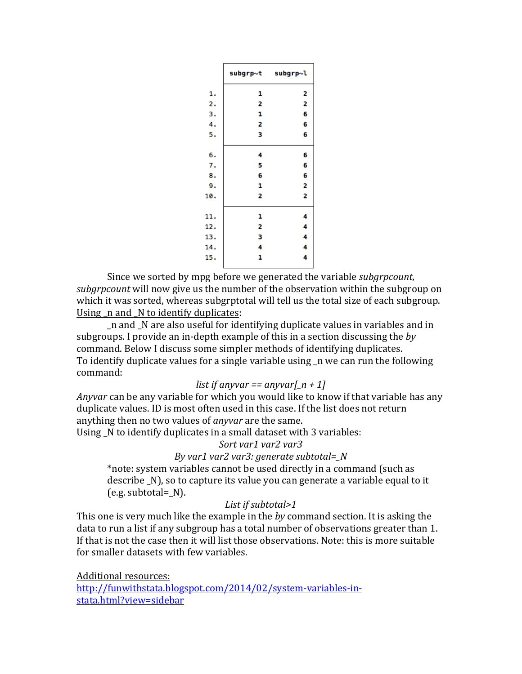|     |   | subgrp~t subgrp~l |
|-----|---|-------------------|
| 1.  | 1 | 2                 |
| 2.  | 2 | 2                 |
| з.  | 1 | 6                 |
| 4.  | 2 | 6                 |
| 5.  | 3 | 6                 |
|     |   |                   |
| 6.  | 4 | 6                 |
| 7.  | 5 | 6                 |
| 8.  | 6 | 6                 |
| 9.  | 1 | 2                 |
| 10. | 2 | 2                 |
|     |   |                   |
| 11. | 1 | 4                 |
| 12. | 2 | 4                 |
| 13. | 3 | 4                 |
| 14. | 4 | 4                 |
| 15. | 1 | 4                 |
|     |   |                   |

Since we sorted by mpg before we generated the variable *subgrpcount*, *subgrpcount* will now give us the number of the observation within the subgroup on which it was sorted, whereas subgrptotal will tell us the total size of each subgroup. Using  $\Delta$  n and  $\Delta$  to identify duplicates:

n and N are also useful for identifying duplicate values in variables and in subgroups. I provide an in-depth example of this in a section discussing the *by* command. Below I discuss some simpler methods of identifying duplicates. To identify duplicate values for a single variable using \_n we can run the following command:

#### *list* if anyvar == anyvar[ $n + 1$ ]

*Anyvar* can be any variable for which you would like to know if that variable has any duplicate values. ID is most often used in this case. If the list does not return anything then no two values of *anyvar* are the same.

Using  $N$  to identify duplicates in a small dataset with 3 variables:

Sort var1 var2 var3

*By* var1 var2 var3: generate subtotal= N

\*note: system variables cannot be used directly in a command (such as describe \_N), so to capture its value you can generate a variable equal to it  $(e.g. subtotal = N).$ 

# List if subtotal>1

This one is very much like the example in the *by* command section. It is asking the data to run a list if any subgroup has a total number of observations greater than 1. If that is not the case then it will list those observations. Note: this is more suitable for smaller datasets with few variables.

Additional resources: http://funwithstata.blogspot.com/2014/02/system-variables-instata.html?view=sidebar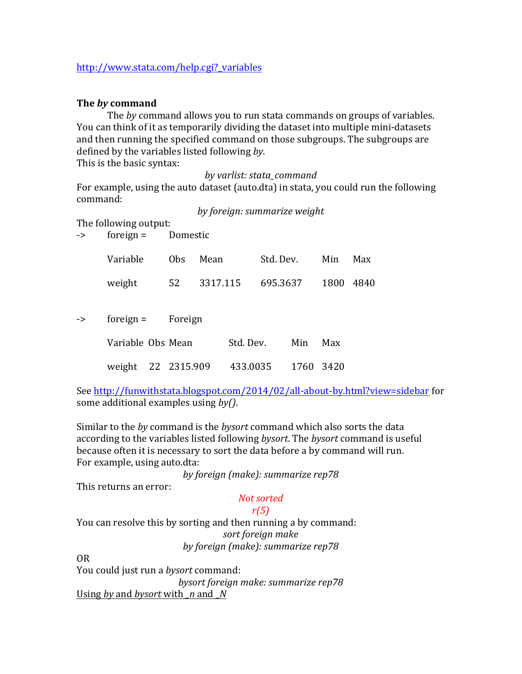# http://www.stata.com/help.cgi?\_variables

# **The** *by* **command**

The by command allows you to run stata commands on groups of variables. You can think of it as temporarily dividing the dataset into multiple mini-datasets and then running the specified command on those subgroups. The subgroups are defined by the variables listed following by.

This is the basic syntax:

#### *by varlist: stata\_command*

For example, using the auto dataset (auto.dta) in stata, you could run the following command:

*by foreign: summarize weight*

The following output:

| -> | foreign $=$ | Domestic |
|----|-------------|----------|
|    |             |          |

|    | Variable          | 0 <sub>bs</sub> | Mean     |           | Std. Dev. |      | Min  | Max  |
|----|-------------------|-----------------|----------|-----------|-----------|------|------|------|
|    | weight            | 52              | 3317.115 |           | 695.3637  |      | 1800 | 4840 |
| -> | foreign $=$       | Foreign         |          |           |           |      |      |      |
|    | Variable Obs Mean |                 |          | Std. Dev. |           | Min  | Max  |      |
|    | weight            | 22 2315.909     |          | 433.0035  |           | 1760 | 3420 |      |

See http://funwithstata.blogspot.com/2014/02/all-about-by.html?view=sidebar for some additional examples using *by()*.

Similar to the *by* command is the *bysort* command which also sorts the data according to the variables listed following *bysort*. The *bysort* command is useful because often it is necessary to sort the data before a by command will run. For example, using auto.dta:

*by foreign (make): summarize rep78*

This returns an error:

# *Not sorted*

*r(5)*

You can resolve this by sorting and then running a by command: sort foreign make *by foreign (make): summarize rep78*

OR

You could just run a *bysort* command: *bysort foreign make: summarize rep78*

Using *by* and *bysort* with  $\mu$  and  $\mu$